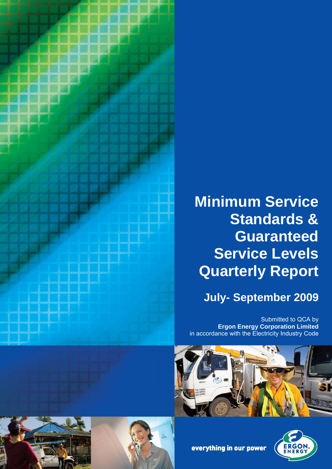

# **Minimum Service Standards & Guaranteed Service Levels Quarterly Report**

# **July- September 2009**

Submitted to QCA by **Ergon Energy Corporation Limited** in accordance with the Electricity Industry Code









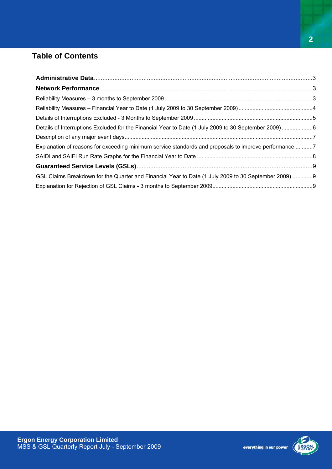## **Table of Contents**

| Explanation of reasons for exceeding minimum service standards and proposals to improve performance 7 |  |
|-------------------------------------------------------------------------------------------------------|--|
|                                                                                                       |  |
|                                                                                                       |  |
| GSL Claims Breakdown for the Quarter and Financial Year to Date (1 July 2009 to 30 September 2009) 9  |  |
|                                                                                                       |  |

**2**

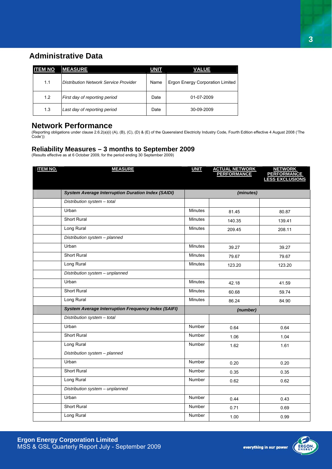### **Administrative Data**

| <b>ITEM NO</b> | <b>MEASURE</b>                        | <b>UNIT</b> | <b>VALUE</b>                     |
|----------------|---------------------------------------|-------------|----------------------------------|
| 1.1            | Distribution Network Service Provider | Name        | Ergon Energy Corporation Limited |
| 1.2            | First day of reporting period         | Date        | 01-07-2009                       |
| 1.3            | Last day of reporting period          | Date        | 30-09-2009                       |

#### **Network Performance**

(Reporting obligations under clause 2.6.2(a)(i) (A), (B), (C), (D) & (E) of the Queensland Electricity Industry Code, Fourth Edition effective 4 August 2008 ('The Code'))

#### **Reliability Measures – 3 months to September 2009**

(Results effective as at 6 October 2009, for the period ending 30 September 2009)

| <b>ITEM NO.</b> | <b>MEASURE</b>                                             | <b>UNIT</b>    | <b>ACTUAL NETWORK<br/>PERFORMANCE</b> | <b>NETWORK</b><br><b>PERFORMANCE</b><br><b>LESS EXCLUSIONS</b> |  |
|-----------------|------------------------------------------------------------|----------------|---------------------------------------|----------------------------------------------------------------|--|
|                 |                                                            |                |                                       |                                                                |  |
|                 | <b>System Average Interruption Duration Index (SAIDI)</b>  |                | (minutes)                             |                                                                |  |
|                 | Distribution system - total                                |                |                                       |                                                                |  |
|                 | Urban                                                      | <b>Minutes</b> | 81.45                                 | 80.87                                                          |  |
|                 | <b>Short Rural</b>                                         | <b>Minutes</b> | 140.35                                | 139.41                                                         |  |
|                 | Long Rural                                                 | Minutes        | 209.45                                | 208.11                                                         |  |
|                 | Distribution system - planned                              |                |                                       |                                                                |  |
|                 | Urban                                                      | <b>Minutes</b> | 39.27                                 | 39.27                                                          |  |
|                 | Short Rural                                                | <b>Minutes</b> | 79.67                                 | 79.67                                                          |  |
|                 | Long Rural                                                 | Minutes        | 123.20                                | 123.20                                                         |  |
|                 | Distribution system - unplanned                            |                |                                       |                                                                |  |
|                 | Urban                                                      | <b>Minutes</b> | 42.18                                 | 41.59                                                          |  |
|                 | <b>Short Rural</b>                                         | <b>Minutes</b> | 60.68                                 | 59.74                                                          |  |
|                 | Long Rural                                                 | Minutes        | 86.24                                 | 84.90                                                          |  |
|                 | <b>System Average Interruption Frequency Index (SAIFI)</b> |                | (number)                              |                                                                |  |
|                 | Distribution system - total                                |                |                                       |                                                                |  |
|                 | Urban                                                      | Number         | 0.64                                  | 0.64                                                           |  |
|                 | <b>Short Rural</b>                                         | Number         | 1.06                                  | 1.04                                                           |  |
|                 | Long Rural                                                 | Number         | 1.62                                  | 1.61                                                           |  |
|                 | Distribution system - planned                              |                |                                       |                                                                |  |
|                 | Urban                                                      | <b>Number</b>  | 0.20                                  | 0.20                                                           |  |
|                 | Short Rural                                                | Number         | 0.35                                  | 0.35                                                           |  |
|                 | Long Rural                                                 | Number         | 0.62                                  | 0.62                                                           |  |
|                 | Distribution system - unplanned                            |                |                                       |                                                                |  |
|                 | Urban                                                      | Number         | 0.44                                  | 0.43                                                           |  |
|                 | <b>Short Rural</b>                                         | Number         | 0.71                                  | 0.69                                                           |  |
|                 | Long Rural                                                 | Number         | 1.00                                  | 0.99                                                           |  |

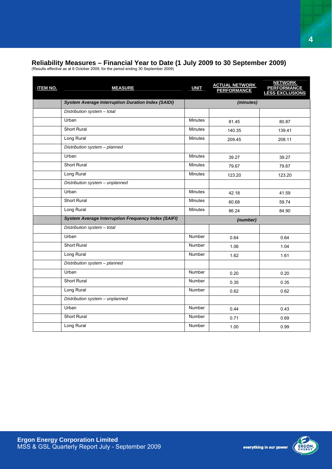#### **Reliability Measures – Financial Year to Date (1 July 2009 to 30 September 2009)**

(Results effective as at 6 October 2009, for the period ending 30 September 2009)

| <b>System Average Interruption Duration Index (SAIDI)</b><br>(minutes) |        |
|------------------------------------------------------------------------|--------|
| Distribution system - total                                            |        |
| Urban<br><b>Minutes</b><br>81.45                                       | 80.87  |
| <b>Short Rural</b><br><b>Minutes</b><br>140.35                         | 139.41 |
| Long Rural<br><b>Minutes</b><br>209.45                                 | 208.11 |
| Distribution system - planned                                          |        |
| Urban<br><b>Minutes</b><br>39.27                                       | 39.27  |
| Short Rural<br><b>Minutes</b><br>79.67                                 | 79.67  |
| Long Rural<br><b>Minutes</b><br>123.20                                 | 123.20 |
| Distribution system - unplanned                                        |        |
| Urban<br><b>Minutes</b><br>42.18                                       | 41.59  |
| <b>Short Rural</b><br><b>Minutes</b><br>60.68                          | 59.74  |
| Long Rural<br><b>Minutes</b><br>86.24                                  | 84.90  |
| <b>System Average Interruption Frequency Index (SAIFI)</b><br>(number) |        |
| Distribution system - total                                            |        |
| Urban<br><b>Number</b><br>0.64                                         | 0.64   |
| <b>Short Rural</b><br><b>Number</b><br>1.06                            | 1.04   |
| Long Rural<br>Number<br>1.62                                           | 1.61   |
| Distribution system - planned                                          |        |
| Urban<br><b>Number</b><br>0.20                                         | 0.20   |
| <b>Short Rural</b><br>Number<br>0.35                                   | 0.35   |
| Long Rural<br><b>Number</b><br>0.62                                    | 0.62   |
| Distribution system - unplanned                                        |        |
| Urban<br><b>Number</b><br>0.44                                         | 0.43   |
| Short Rural<br><b>Number</b><br>0.71                                   | 0.69   |
| Long Rural<br>Number<br>1.00                                           | 0.99   |

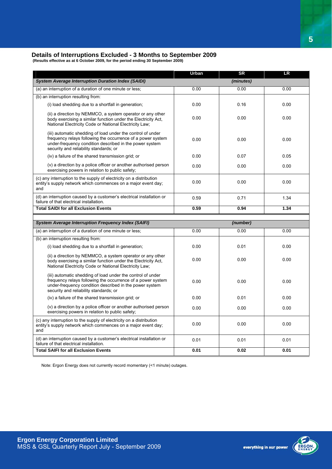#### **Details of Interruptions Excluded - 3 Months to September 2009**

 **(Results effective as at 6 October 2009, for the period ending 30 September 2009)**

|                                                                                                                                                                                                                                 | Urban | <b>SR</b> | <b>LR</b> |
|---------------------------------------------------------------------------------------------------------------------------------------------------------------------------------------------------------------------------------|-------|-----------|-----------|
| <b>System Average Interruption Duration Index (SAIDI)</b>                                                                                                                                                                       |       | (minutes) |           |
| (a) an interruption of a duration of one minute or less;                                                                                                                                                                        | 0.00  | 0.00      | 0.00      |
| (b) an interruption resulting from:                                                                                                                                                                                             |       |           |           |
| (i) load shedding due to a shortfall in generation;                                                                                                                                                                             | 0.00  | 0.16      | 0.00      |
| (ii) a direction by NEMMCO, a system operator or any other<br>body exercising a similar function under the Electricity Act,<br>National Electricity Code or National Electricity Law;                                           | 0.00  | 0.00      | 0.00      |
| (iii) automatic shedding of load under the control of under<br>frequency relays following the occurrence of a power system<br>under-frequency condition described in the power system<br>security and reliability standards; or | 0.00  | 0.00      | 0.00      |
| (iv) a failure of the shared transmission grid; or                                                                                                                                                                              | 0.00  | 0.07      | 0.05      |
| (v) a direction by a police officer or another authorised person<br>exercising powers in relation to public safety;                                                                                                             | 0.00  | 0.00      | 0.00      |
| (c) any interruption to the supply of electricity on a distribution<br>entity's supply network which commences on a major event day;<br>and                                                                                     | 0.00  | 0.00      | 0.00      |
| (d) an interruption caused by a customer's electrical installation or<br>failure of that electrical installation.                                                                                                               | 0.59  | 0.71      | 1.34      |
| <b>Total SAIDI for all Exclusion Events</b>                                                                                                                                                                                     | 0.59  | 0.94      | 1.34      |
|                                                                                                                                                                                                                                 |       |           |           |
|                                                                                                                                                                                                                                 |       |           |           |
| <b>System Average Interruption Frequency Index (SAIFI)</b>                                                                                                                                                                      |       | (number)  |           |
| (a) an interruption of a duration of one minute or less;                                                                                                                                                                        | 0.00  | 0.00      | 0.00      |
| (b) an interruption resulting from:                                                                                                                                                                                             |       |           |           |
| (i) load shedding due to a shortfall in generation;                                                                                                                                                                             | 0.00  | 0.01      | 0.00      |
| (ii) a direction by NEMMCO, a system operator or any other<br>body exercising a similar function under the Electricity Act,<br>National Electricity Code or National Electricity Law;                                           | 0.00  | 0.00      | 0.00      |
| (iii) automatic shedding of load under the control of under<br>frequency relays following the occurrence of a power system<br>under-frequency condition described in the power system<br>security and reliability standards; or | 0.00  | 0.00      | 0.00      |
| (iv) a failure of the shared transmission grid; or                                                                                                                                                                              | 0.00  | 0.01      | 0.00      |
| (v) a direction by a police officer or another authorised person<br>exercising powers in relation to public safety;                                                                                                             | 0.00  | 0.00      | 0.00      |
| (c) any interruption to the supply of electricity on a distribution<br>entity's supply network which commences on a major event day;<br>and                                                                                     | 0.00  | 0.00      | 0.00      |
| (d) an interruption caused by a customer's electrical installation or<br>failure of that electrical installation.                                                                                                               | 0.01  | 0.01      | 0.01      |

Note: Ergon Energy does not currently record momentary (<1 minute) outages.

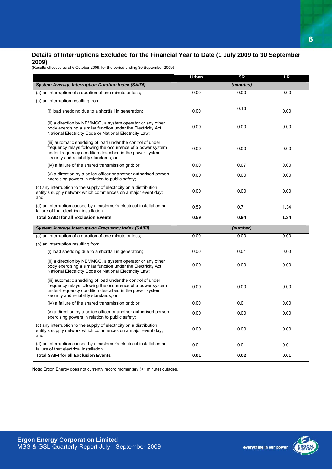#### **Details of Interruptions Excluded for the Financial Year to Date (1 July 2009 to 30 September 2009)**

(Results effective as at 6 October 2009, for the period ending 30 September 2009)

|                                                                                                                                                                                                                                 | Urban | <b>SR</b> | <b>LR</b> |
|---------------------------------------------------------------------------------------------------------------------------------------------------------------------------------------------------------------------------------|-------|-----------|-----------|
| <b>System Average Interruption Duration Index (SAIDI)</b>                                                                                                                                                                       |       | (minutes) |           |
| (a) an interruption of a duration of one minute or less;                                                                                                                                                                        | 0.00  | 0.00      | 0.00      |
| (b) an interruption resulting from:                                                                                                                                                                                             |       |           |           |
| (i) load shedding due to a shortfall in generation;                                                                                                                                                                             | 0.00  | 0.16      | 0.00      |
| (ii) a direction by NEMMCO, a system operator or any other<br>body exercising a similar function under the Electricity Act,<br>National Electricity Code or National Electricity Law;                                           | 0.00  | 0.00      | 0.00      |
| (iii) automatic shedding of load under the control of under<br>frequency relays following the occurrence of a power system<br>under-frequency condition described in the power system<br>security and reliability standards; or | 0.00  | 0.00      | 0.00      |
| (iv) a failure of the shared transmission grid; or                                                                                                                                                                              | 0.00  | 0.07      | 0.00      |
| (v) a direction by a police officer or another authorised person<br>exercising powers in relation to public safety;                                                                                                             | 0.00  | 0.00      | 0.00      |
| (c) any interruption to the supply of electricity on a distribution<br>entity's supply network which commences on a major event day;<br>and                                                                                     | 0.00  | 0.00      | 0.00      |
| (d) an interruption caused by a customer's electrical installation or<br>failure of that electrical installation.                                                                                                               | 0.59  | 0.71      | 1.34      |
|                                                                                                                                                                                                                                 |       |           |           |
| <b>Total SAIDI for all Exclusion Events</b>                                                                                                                                                                                     | 0.59  | 0.94      | 1.34      |
| <b>System Average Interruption Frequency Index (SAIFI)</b>                                                                                                                                                                      |       | (number)  |           |
| (a) an interruption of a duration of one minute or less;                                                                                                                                                                        | 0.00  | 0.00      | 0.00      |
| (b) an interruption resulting from:                                                                                                                                                                                             |       |           |           |
| (i) load shedding due to a shortfall in generation;                                                                                                                                                                             | 0.00  | 0.01      | 0.00      |
| (ii) a direction by NEMMCO, a system operator or any other<br>body exercising a similar function under the Electricity Act,<br>National Electricity Code or National Electricity Law;                                           | 0.00  | 0.00      | 0.00      |
| (iii) automatic shedding of load under the control of under<br>frequency relays following the occurrence of a power system<br>under-frequency condition described in the power system<br>security and reliability standards; or | 0.00  | 0.00      | 0.00      |
| (iv) a failure of the shared transmission grid; or                                                                                                                                                                              | 0.00  | 0.01      | 0.00      |
| (v) a direction by a police officer or another authorised person<br>exercising powers in relation to public safety;                                                                                                             | 0.00  | 0.00      | 0.00      |
| (c) any interruption to the supply of electricity on a distribution<br>entity's supply network which commences on a major event day;<br>and                                                                                     | 0.00  | 0.00      | 0.00      |
| (d) an interruption caused by a customer's electrical installation or<br>failure of that electrical installation.                                                                                                               | 0.01  | 0.01      | 0.01      |

Note: Ergon Energy does not currently record momentary (<1 minute) outages.

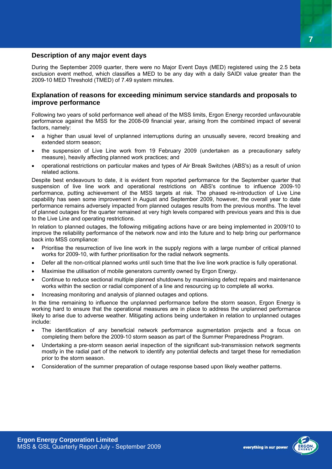#### **Description of any major event days**

During the September 2009 quarter, there were no Major Event Days (MED) registered using the 2.5 beta exclusion event method, which classifies a MED to be any day with a daily SAIDI value greater than the 2009-10 MED Threshold (TMED) of 7.49 system minutes.

#### **Explanation of reasons for exceeding minimum service standards and proposals to improve performance**

Following two years of solid performance well ahead of the MSS limits, Ergon Energy recorded unfavourable performance against the MSS for the 2008-09 financial year, arising from the combined impact of several factors, namely:

- a higher than usual level of unplanned interruptions during an unusually severe, record breaking and extended storm season;
- the suspension of Live Line work from 19 February 2009 (undertaken as a precautionary safety measure), heavily affecting planned work practices; and
- operational restrictions on particular makes and types of Air Break Switches (ABS's) as a result of union related actions.

Despite best endeavours to date, it is evident from reported performance for the September quarter that suspension of live line work and operational restrictions on ABS's continue to influence 2009-10 performance, putting achievement of the MSS targets at risk. The phased re-introduction of Live Line capability has seen some improvement in August and September 2009, however, the overall year to date performance remains adversely impacted from planned outages results from the previous months. The level of planned outages for the quarter remained at very high levels compared with previous years and this is due to the Live Line and operating restrictions.

In relation to planned outages, the following mitigating actions have or are being implemented in 2009/10 to improve the reliability performance of the network now and into the future and to help bring our performance back into MSS compliance:

- Prioritise the resurrection of live line work in the supply regions with a large number of critical planned works for 2009-10, with further prioritisation for the radial network segments.
- Defer all the non-critical planned works until such time that the live line work practice is fully operational.
- Maximise the utilisation of mobile generators currently owned by Ergon Energy.
- Continue to reduce sectional multiple planned shutdowns by maximising defect repairs and maintenance works within the section or radial component of a line and resourcing up to complete all works.
- Increasing monitoring and analysis of planned outages and options.

In the time remaining to influence the unplanned performance before the storm season, Ergon Energy is working hard to ensure that the operational measures are in place to address the unplanned performance likely to arise due to adverse weather. Mitigating actions being undertaken in relation to unplanned outages include:

- The identification of any beneficial network performance augmentation projects and a focus on completing them before the 2009-10 storm season as part of the Summer Preparedness Program.
- Undertaking a pre-storm season aerial inspection of the significant sub-transmission network segments mostly in the radial part of the network to identify any potential defects and target these for remediation prior to the storm season.
- Consideration of the summer preparation of outage response based upon likely weather patterns.



**7**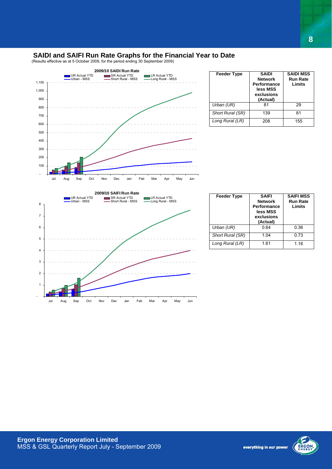#### **SAIDI and SAIFI Run Rate Graphs for the Financial Year to Date**

(Results effective as at 5 October 2009, for the period ending 30 September 2009)



| <b>Feeder Type</b> | <b>SAIDI</b><br><b>Network</b><br>Performance<br>less MSS<br>exclusions<br>(Actual) | <b>SAIDI MSS</b><br><b>Run Rate</b><br>Limits |
|--------------------|-------------------------------------------------------------------------------------|-----------------------------------------------|
| Urban (UR)         | 81                                                                                  | 29                                            |
| Short Rural (SR)   | 139                                                                                 | 81                                            |
| Long Rural (LR)    | 208                                                                                 | 155                                           |



| <b>Feeder Type</b> | <b>SAIFI</b><br><b>Network</b><br><b>Performance</b><br>less MSS<br>exclusions<br>(Actual) | <b>SAIFI MSS</b><br><b>Run Rate</b><br>Limits |  |
|--------------------|--------------------------------------------------------------------------------------------|-----------------------------------------------|--|
| Urban (UR)         | 0.64                                                                                       | 0.36                                          |  |
| Short Rural (SR)   | 1.04                                                                                       | 0.73                                          |  |
| Long Rural (LR)    | 1.61                                                                                       | 1.16                                          |  |



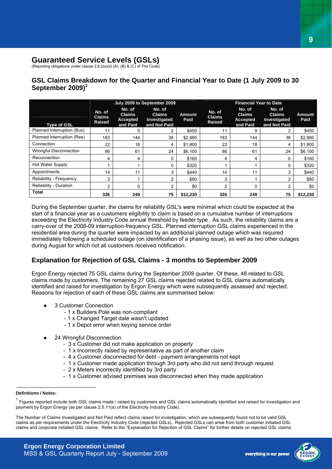#### **Guaranteed Service Levels (GSLs)**

(Reporting obligations under clause 2.6.2(a)(ii) (A), (B) & (C) of The Code)

#### **GSL Claims Breakdown for the Quarter and Financial Year to Date (1 July 2009 to 30 September 2009)<sup>1</sup>**

|                               | July 2009 to September 2009              |                                                 |                                                         | <b>Financial Year to Date</b> |                                          |                                                        |                                                         |                       |
|-------------------------------|------------------------------------------|-------------------------------------------------|---------------------------------------------------------|-------------------------------|------------------------------------------|--------------------------------------------------------|---------------------------------------------------------|-----------------------|
| <b>Type of GSL</b>            | No. of<br><b>Claims</b><br><b>Raised</b> | No. of<br><b>Claims</b><br>Accepted<br>and Paid | No. of<br><b>Claims</b><br>Investigated<br>and Not Paid | <b>Amount</b><br>Paid         | No. of<br><b>Claims</b><br><b>Raised</b> | No. of<br><b>Claims</b><br><b>Accepted</b><br>and Paid | No. of<br><b>Claims</b><br>Investigated<br>and Not Paid | <b>Amount</b><br>Paid |
| Planned Interruption (Bus)    | 11                                       | 9                                               | 2                                                       | \$450                         | 11                                       | 9                                                      | 2                                                       | \$450                 |
| Planned Interruption (Res)    | 183                                      | 144                                             | 38                                                      | \$2,880                       | 183                                      | 144                                                    | 38                                                      | \$2,880               |
| Connection                    | 22                                       | 18                                              | 4                                                       | \$1,800                       | 22                                       | 18                                                     | 4                                                       | \$1,800               |
| <b>Wrongful Disconnection</b> | 86                                       | 61                                              | 24                                                      | \$6,100                       | 86                                       | 61                                                     | 24                                                      | \$6,100               |
| Reconnection                  | 4                                        | 4                                               | 0                                                       | \$160                         | 4                                        | 4                                                      | 0                                                       | \$160                 |
| Hot Water Supply              |                                          |                                                 | 0                                                       | \$320                         |                                          |                                                        | 0                                                       | \$320                 |
| Appointments                  | 14                                       | 11                                              | 3                                                       | \$440                         | 14                                       | 11                                                     | 3                                                       | \$440                 |
| Reliability - Frequency       | 3                                        |                                                 | 2                                                       | \$80                          | 3                                        |                                                        | 2                                                       | \$80                  |
| Reliability - Duration        | 2                                        | 0                                               | 2                                                       | \$0                           | 2                                        | 0                                                      | 2                                                       | \$0                   |
| <b>Total</b>                  | 326                                      | 249                                             | 75                                                      | \$12,230                      | 326                                      | 249                                                    | 75                                                      | \$12,230              |

During the September quarter, the claims for reliability GSL's were minimal which could be expected at the start of a financial year as a customers eligibility to claim is based on a cumulative number of interruptions exceeding the Electricity Industry Code annual threshold by feeder type. As such, the reliability claims are a carry-over of the 2008-09 interruption-frequency GSL. Planned interruption GSL claims experienced in the residential area during the quarter were impacted by an additional planned outage which was required immediately following a scheduled outage (on identification of a phasing issue), as well as two other outages during August for which not all customers received notification.

#### **Explanation for Rejection of GSL Claims - 3 months to September 2009**

Ergon Energy rejected 75 GSL claims during the September 2009 quarter. Of these, 48 related to GSL claims made by customers. The remaining 27 GSL claims rejected related to GSL claims automatically identified and raised for investigation by Ergon Energy which were subsequently assessed and rejected. Reasons for rejection of each of these GSL claims are summarised below:

- 3 Customer Connection
	- 1 x Builders Pole was non-compliant
	- 1 x Changed Target date wasn't updated
	- 1 x Depot error when keying service order
- 24 Wrongful Disconnection
	- 3 x Customer did not make application on property
	- 1 x Incorrectly raised by representative as part of another claim
	- 4 x Customer disconnected for debt payment arrangements not kept
	- 1 x Customer made application through 3rd party who did not send through request
	- 2 x Meters incorrectly identified by 3rd party
	- 1 x Customer advised premises was disconnected when they made application



 $\overline{a}$ **Definitions / Notes:** 

<sup>1</sup> Figures reported include both GSL claims made / raised by customers and GSL claims automatically identified and raised for investigation and payment by Ergon Energy (as per clause 2.5.11(a) of the Electricity Industry Code).

The Number of Claims Investigated and Not Paid reflect claims raised for investigation, which are subsequently found not to be valid GSL claims as per requirements under the Electricity Industry Code (rejected GSLs). Rejected GSLs can arise from both customer initiated GSL claims and corporate initiated GSL claims. Refer to the "Explanation for Rejection of GSL Claims" for further details on rejected GSL claims.